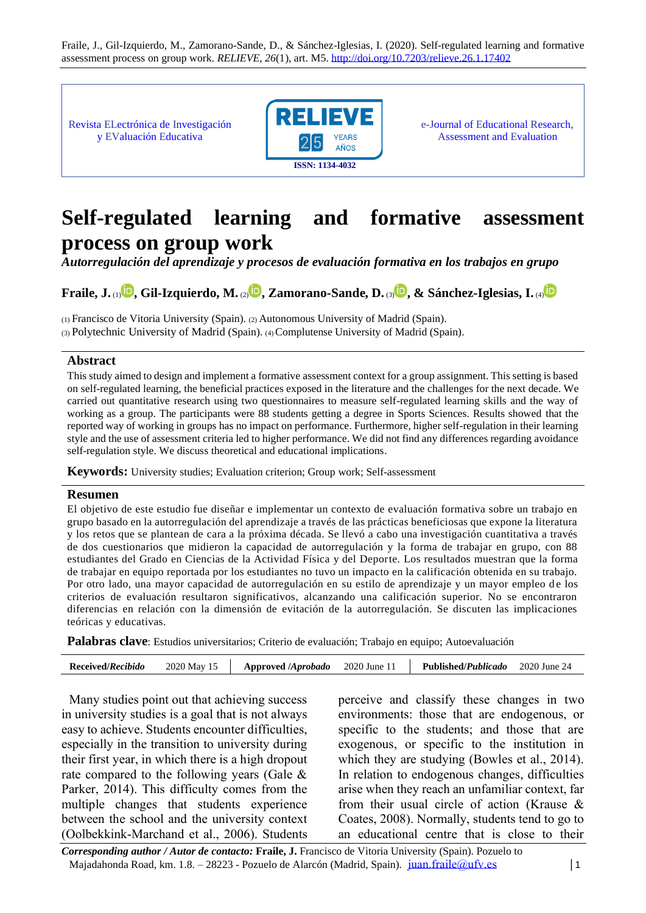Fraile, J., Gil-Izquierdo, M., Zamorano-Sande, D., & Sánchez-Iglesias, I. (2020). Self-regulated learning and formative assessment process on group work. *RELIEVE, 26*(1), art. M5[. http://doi.org/10.7203/relieve.26.1.17402](http://doi.org/10.7203/relieve.26.1.17402)

Revista ELectrónica de Investigación y EValuación Educativa



e-Journal of Educational Research, Assessment and Evaluation

# **Self-regulated learning and formative assessment process on group work**

*Autorregulación del aprendizaje y procesos de evaluación formativa en los trabajos en grupo*

# **Fraile, J.** (1) **[,](http://orcid.org/0000-0002-7212-7380) Gil-Izquierdo, M.** (2[\)](http://orcid.org/0000-0001-8268-575X) **, Zamorano-Sande, D.** (3) **[,](http://orcid.org/0000-0002-3291-6983) & Sánchez-Iglesias, I.** (4[\)](http://orcid.org/0000-0002-6934-7905)

(1) Francisco de Vitoria University (Spain). (2) Autonomous University of Madrid (Spain). (3) Polytechnic University of Madrid (Spain). (4) Complutense University of Madrid (Spain).

#### **Abstract**

This study aimed to design and implement a formative assessment context for a group assignment. This setting is based on self-regulated learning, the beneficial practices exposed in the literature and the challenges for the next decade. We carried out quantitative research using two questionnaires to measure self-regulated learning skills and the way of working as a group. The participants were 88 students getting a degree in Sports Sciences. Results showed that the reported way of working in groups has no impact on performance. Furthermore, higher self-regulation in their learning style and the use of assessment criteria led to higher performance. We did not find any differences regarding avoidance self-regulation style. We discuss theoretical and educational implications.

**Keywords:** University studies; Evaluation criterion; Group work; Self-assessment

#### **Resumen**

El objetivo de este estudio fue diseñar e implementar un contexto de evaluación formativa sobre un trabajo en grupo basado en la autorregulación del aprendizaje a través de las prácticas beneficiosas que expone la literatura y los retos que se plantean de cara a la próxima década. Se llevó a cabo una investigación cuantitativa a través de dos cuestionarios que midieron la capacidad de autorregulación y la forma de trabajar en grupo, con 88 estudiantes del Grado en Ciencias de la Actividad Física y del Deporte. Los resultados muestran que la forma de trabajar en equipo reportada por los estudiantes no tuvo un impacto en la calificación obtenida en su trabajo. Por otro lado, una mayor capacidad de autorregulación en su estilo de aprendizaje y un mayor empleo de los criterios de evaluación resultaron significativos, alcanzando una calificación superior. No se encontraron diferencias en relación con la dimensión de evitación de la autorregulación. Se discuten las implicaciones teóricas y educativas.

**Palabras clave**: Estudios universitarios; Criterio de evaluación; Trabajo en equipo; Autoevaluación

| 2020 May 15<br><b>Approved <i>Aprobado</i></b> |
|------------------------------------------------|
|------------------------------------------------|

Many studies point out that achieving success in university studies is a goal that is not always easy to achieve. Students encounter difficulties, especially in the transition to university during their first year, in which there is a high dropout rate compared to the following years (Gale & Parker, 2014). This difficulty comes from the multiple changes that students experience between the school and the university context (Oolbekkink-Marchand et al., 2006). Students perceive and classify these changes in two environments: those that are endogenous, or specific to the students; and those that are exogenous, or specific to the institution in which they are studying (Bowles et al., 2014). In relation to endogenous changes, difficulties arise when they reach an unfamiliar context, far from their usual circle of action (Krause & Coates, 2008). Normally, students tend to go to an educational centre that is close to their

*Corresponding author / Autor de contacto:* **Fraile, J.** Francisco de Vitoria University (Spain). Pozuelo to Majadahonda Road, km. 1.8. – 28223 - Pozuelo de Alarcón (Madrid, Spain). [juan.fraile@ufv.es](mailto:juan.fraile@ufv.es) │1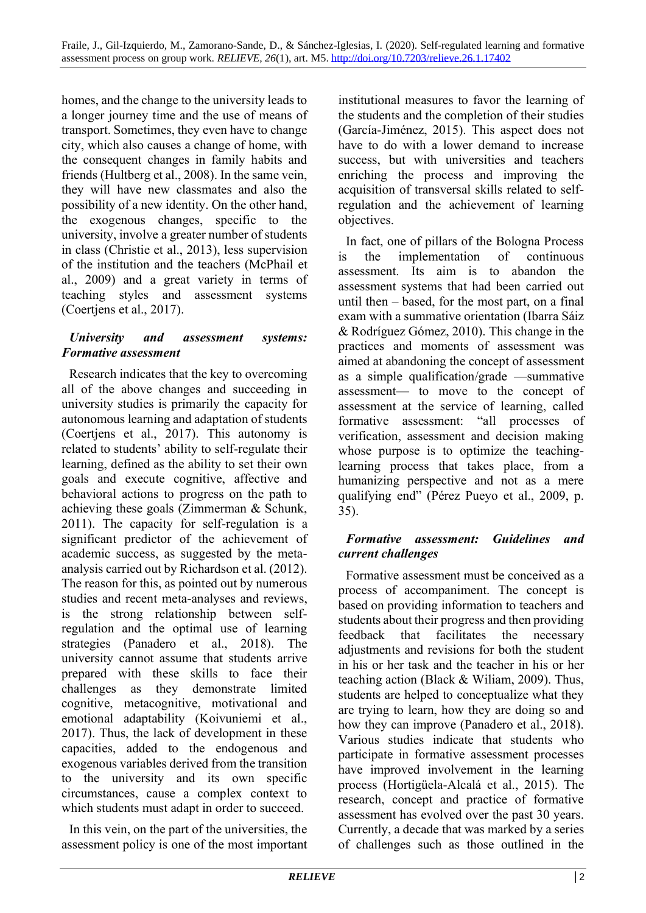homes, and the change to the university leads to a longer journey time and the use of means of transport. Sometimes, they even have to change city, which also causes a change of home, with the consequent changes in family habits and friends (Hultberg et al., 2008). In the same vein, they will have new classmates and also the possibility of a new identity. On the other hand, the exogenous changes, specific to the university, involve a greater number of students in class (Christie et al., 2013), less supervision of the institution and the teachers (McPhail et al., 2009) and a great variety in terms of teaching styles and assessment systems (Coertjens et al., 2017).

#### *University and assessment systems: Formative assessment*

Research indicates that the key to overcoming all of the above changes and succeeding in university studies is primarily the capacity for autonomous learning and adaptation of students (Coertjens et al., 2017). This autonomy is related to students' ability to self-regulate their learning, defined as the ability to set their own goals and execute cognitive, affective and behavioral actions to progress on the path to achieving these goals (Zimmerman & Schunk, 2011). The capacity for self-regulation is a significant predictor of the achievement of academic success, as suggested by the metaanalysis carried out by Richardson et al. (2012). The reason for this, as pointed out by numerous studies and recent meta-analyses and reviews, is the strong relationship between selfregulation and the optimal use of learning strategies (Panadero et al., 2018). The university cannot assume that students arrive prepared with these skills to face their challenges as they demonstrate limited cognitive, metacognitive, motivational and emotional adaptability (Koivuniemi et al., 2017). Thus, the lack of development in these capacities, added to the endogenous and exogenous variables derived from the transition to the university and its own specific circumstances, cause a complex context to which students must adapt in order to succeed.

In this vein, on the part of the universities, the assessment policy is one of the most important institutional measures to favor the learning of the students and the completion of their studies (García-Jiménez, 2015). This aspect does not have to do with a lower demand to increase success, but with universities and teachers enriching the process and improving the acquisition of transversal skills related to selfregulation and the achievement of learning objectives.

In fact, one of pillars of the Bologna Process is the implementation of continuous assessment. Its aim is to abandon the assessment systems that had been carried out until then – based, for the most part, on a final exam with a summative orientation (Ibarra Sáiz & Rodríguez Gómez, 2010). This change in the practices and moments of assessment was aimed at abandoning the concept of assessment as a simple qualification/grade —summative assessment— to move to the concept of assessment at the service of learning, called formative assessment: "all processes of verification, assessment and decision making whose purpose is to optimize the teachinglearning process that takes place, from a humanizing perspective and not as a mere qualifying end" (Pérez Pueyo et al., 2009, p. 35).

#### *Formative assessment: Guidelines and current challenges*

Formative assessment must be conceived as a process of accompaniment. The concept is based on providing information to teachers and students about their progress and then providing feedback that facilitates the necessary adjustments and revisions for both the student in his or her task and the teacher in his or her teaching action (Black & Wiliam, 2009). Thus, students are helped to conceptualize what they are trying to learn, how they are doing so and how they can improve (Panadero et al., 2018). Various studies indicate that students who participate in formative assessment processes have improved involvement in the learning process (Hortigüela-Alcalá et al., 2015). The research, concept and practice of formative assessment has evolved over the past 30 years. Currently, a decade that was marked by a series of challenges such as those outlined in the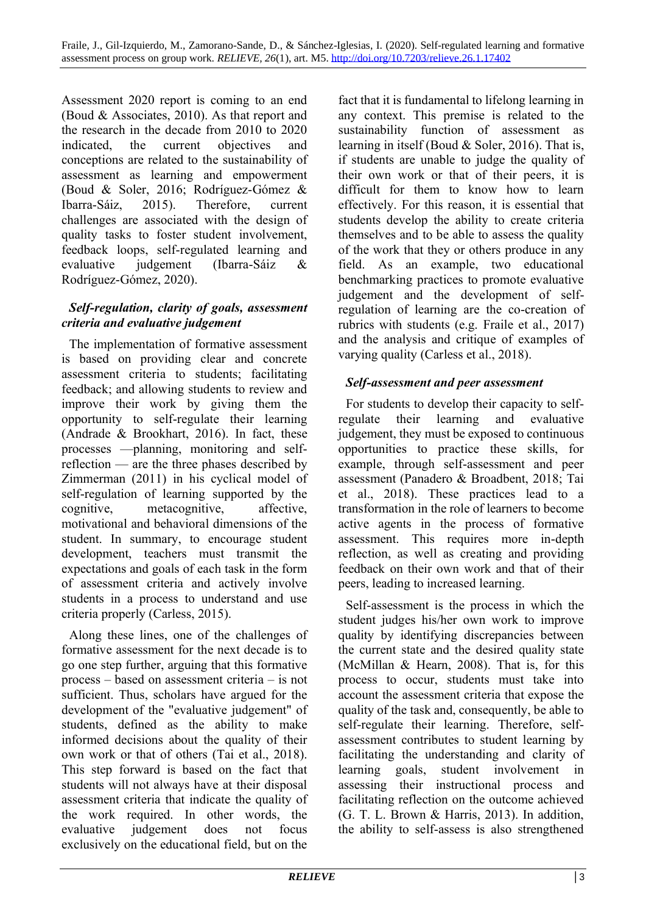Assessment 2020 report is coming to an end (Boud & Associates, 2010). As that report and the research in the decade from 2010 to 2020 indicated, the current objectives and conceptions are related to the sustainability of assessment as learning and empowerment (Boud & Soler, 2016; Rodríguez-Gómez & Ibarra-Sáiz, 2015). Therefore, current challenges are associated with the design of quality tasks to foster student involvement, feedback loops, self-regulated learning and evaluative judgement (Ibarra-Sáiz & Rodríguez-Gómez, 2020).

#### *Self-regulation, clarity of goals, assessment criteria and evaluative judgement*

The implementation of formative assessment is based on providing clear and concrete assessment criteria to students; facilitating feedback; and allowing students to review and improve their work by giving them the opportunity to self-regulate their learning (Andrade & Brookhart, 2016). In fact, these processes —planning, monitoring and selfreflection — are the three phases described by Zimmerman (2011) in his cyclical model of self-regulation of learning supported by the cognitive, metacognitive, affective, motivational and behavioral dimensions of the student. In summary, to encourage student development, teachers must transmit the expectations and goals of each task in the form of assessment criteria and actively involve students in a process to understand and use criteria properly (Carless, 2015).

Along these lines, one of the challenges of formative assessment for the next decade is to go one step further, arguing that this formative process – based on assessment criteria – is not sufficient. Thus, scholars have argued for the development of the "evaluative judgement" of students, defined as the ability to make informed decisions about the quality of their own work or that of others (Tai et al., 2018). This step forward is based on the fact that students will not always have at their disposal assessment criteria that indicate the quality of the work required. In other words, the evaluative judgement does not focus exclusively on the educational field, but on the fact that it is fundamental to lifelong learning in any context. This premise is related to the sustainability function of assessment as learning in itself (Boud & Soler, 2016). That is, if students are unable to judge the quality of their own work or that of their peers, it is difficult for them to know how to learn effectively. For this reason, it is essential that students develop the ability to create criteria themselves and to be able to assess the quality of the work that they or others produce in any field. As an example, two educational benchmarking practices to promote evaluative judgement and the development of selfregulation of learning are the co-creation of rubrics with students (e.g. Fraile et al., 2017) and the analysis and critique of examples of varying quality (Carless et al., 2018).

### *Self-assessment and peer assessment*

For students to develop their capacity to selfregulate their learning and evaluative judgement, they must be exposed to continuous opportunities to practice these skills, for example, through self-assessment and peer assessment (Panadero & Broadbent, 2018; Tai et al., 2018). These practices lead to a transformation in the role of learners to become active agents in the process of formative assessment. This requires more in-depth reflection, as well as creating and providing feedback on their own work and that of their peers, leading to increased learning.

Self-assessment is the process in which the student judges his/her own work to improve quality by identifying discrepancies between the current state and the desired quality state (McMillan & Hearn, 2008). That is, for this process to occur, students must take into account the assessment criteria that expose the quality of the task and, consequently, be able to self-regulate their learning. Therefore, selfassessment contributes to student learning by facilitating the understanding and clarity of learning goals, student involvement in assessing their instructional process and facilitating reflection on the outcome achieved (G. T. L. Brown & Harris, 2013). In addition, the ability to self-assess is also strengthened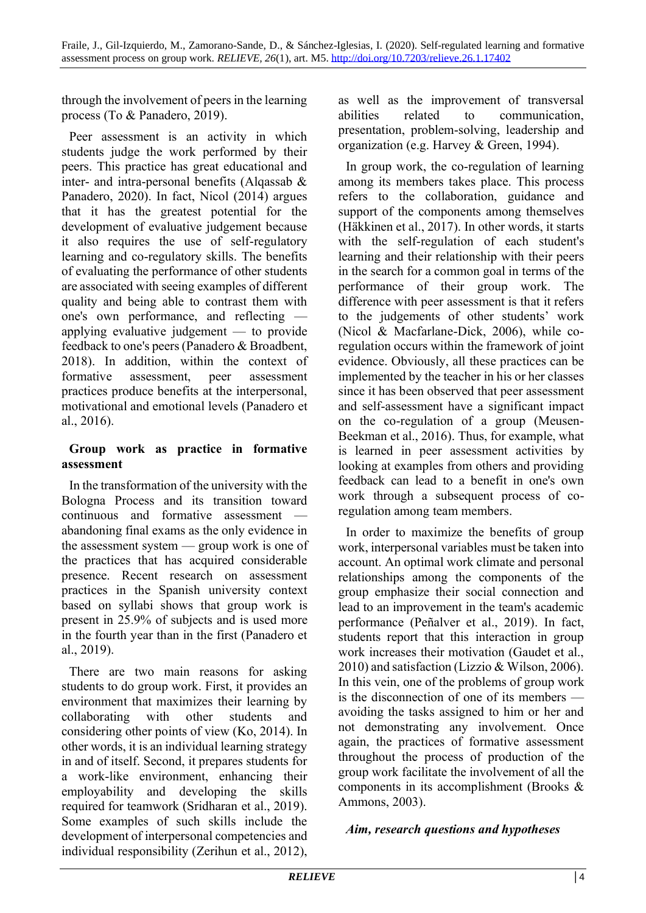through the involvement of peers in the learning process (To & Panadero, 2019).

Peer assessment is an activity in which students judge the work performed by their peers. This practice has great educational and inter- and intra-personal benefits (Alqassab & Panadero, 2020). In fact, Nicol (2014) argues that it has the greatest potential for the development of evaluative judgement because it also requires the use of self-regulatory learning and co-regulatory skills. The benefits of evaluating the performance of other students are associated with seeing examples of different quality and being able to contrast them with one's own performance, and reflecting applying evaluative judgement — to provide feedback to one's peers (Panadero & Broadbent, 2018). In addition, within the context of formative assessment, peer assessment practices produce benefits at the interpersonal, motivational and emotional levels (Panadero et al., 2016).

#### **Group work as practice in formative assessment**

In the transformation of the university with the Bologna Process and its transition toward continuous and formative assessment abandoning final exams as the only evidence in the assessment system — group work is one of the practices that has acquired considerable presence. Recent research on assessment practices in the Spanish university context based on syllabi shows that group work is present in 25.9% of subjects and is used more in the fourth year than in the first (Panadero et al., 2019).

There are two main reasons for asking students to do group work. First, it provides an environment that maximizes their learning by collaborating with other students and considering other points of view (Ko, 2014). In other words, it is an individual learning strategy in and of itself. Second, it prepares students for a work-like environment, enhancing their employability and developing the skills required for teamwork (Sridharan et al., 2019). Some examples of such skills include the development of interpersonal competencies and individual responsibility (Zerihun et al., 2012),

as well as the improvement of transversal abilities related to communication, presentation, problem-solving, leadership and organization (e.g. Harvey & Green, 1994).

In group work, the co-regulation of learning among its members takes place. This process refers to the collaboration, guidance and support of the components among themselves (Häkkinen et al., 2017). In other words, it starts with the self-regulation of each student's learning and their relationship with their peers in the search for a common goal in terms of the performance of their group work. The difference with peer assessment is that it refers to the judgements of other students' work (Nicol & Macfarlane-Dick, 2006), while coregulation occurs within the framework of joint evidence. Obviously, all these practices can be implemented by the teacher in his or her classes since it has been observed that peer assessment and self-assessment have a significant impact on the co-regulation of a group (Meusen-Beekman et al., 2016). Thus, for example, what is learned in peer assessment activities by looking at examples from others and providing feedback can lead to a benefit in one's own work through a subsequent process of coregulation among team members.

In order to maximize the benefits of group work, interpersonal variables must be taken into account. An optimal work climate and personal relationships among the components of the group emphasize their social connection and lead to an improvement in the team's academic performance (Peñalver et al., 2019). In fact, students report that this interaction in group work increases their motivation (Gaudet et al., 2010) and satisfaction (Lizzio & Wilson, 2006). In this vein, one of the problems of group work is the disconnection of one of its members avoiding the tasks assigned to him or her and not demonstrating any involvement. Once again, the practices of formative assessment throughout the process of production of the group work facilitate the involvement of all the components in its accomplishment (Brooks & Ammons, 2003).

#### *Aim, research questions and hypotheses*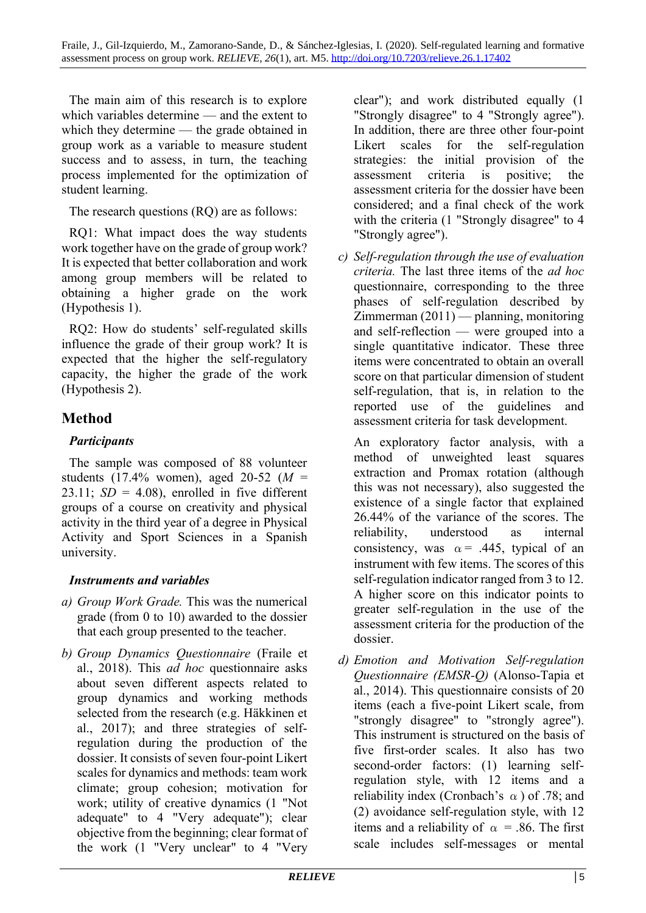The main aim of this research is to explore which variables determine — and the extent to which they determine — the grade obtained in group work as a variable to measure student success and to assess, in turn, the teaching process implemented for the optimization of student learning.

The research questions (RQ) are as follows:

RQ1: What impact does the way students work together have on the grade of group work? It is expected that better collaboration and work among group members will be related to obtaining a higher grade on the work (Hypothesis 1).

RQ2: How do students' self-regulated skills influence the grade of their group work? It is expected that the higher the self-regulatory capacity, the higher the grade of the work (Hypothesis 2).

# **Method**

### *Participants*

The sample was composed of 88 volunteer students (17.4% women), aged 20-52 (*M* = 23.11;  $SD = 4.08$ ), enrolled in five different groups of a course on creativity and physical activity in the third year of a degree in Physical Activity and Sport Sciences in a Spanish university.

### *Instruments and variables*

- *a) Group Work Grade.* This was the numerical grade (from 0 to 10) awarded to the dossier that each group presented to the teacher.
- *b) Group Dynamics Questionnaire* (Fraile et al., 2018). This *ad hoc* questionnaire asks about seven different aspects related to group dynamics and working methods selected from the research (e.g. Häkkinen et al., 2017); and three strategies of selfregulation during the production of the dossier. It consists of seven four-point Likert scales for dynamics and methods: team work climate; group cohesion; motivation for work; utility of creative dynamics (1 "Not adequate" to 4 "Very adequate"); clear objective from the beginning; clear format of the work (1 "Very unclear" to 4 "Very

clear"); and work distributed equally (1 "Strongly disagree" to 4 "Strongly agree"). In addition, there are three other four-point Likert scales for the self-regulation strategies: the initial provision of the assessment criteria is positive; the assessment criteria for the dossier have been considered; and a final check of the work with the criteria (1 "Strongly disagree" to 4 "Strongly agree").

*c) Self-regulation through the use of evaluation criteria.* The last three items of the *ad hoc* questionnaire, corresponding to the three phases of self-regulation described by Zimmerman (2011) — planning, monitoring and self-reflection — were grouped into a single quantitative indicator. These three items were concentrated to obtain an overall score on that particular dimension of student self-regulation, that is, in relation to the reported use of the guidelines and assessment criteria for task development.

An exploratory factor analysis, with a method of unweighted least squares extraction and Promax rotation (although this was not necessary), also suggested the existence of a single factor that explained 26.44% of the variance of the scores. The reliability, understood as internal consistency, was  $\alpha$  = .445, typical of an instrument with few items. The scores of this self-regulation indicator ranged from 3 to 12. A higher score on this indicator points to greater self-regulation in the use of the assessment criteria for the production of the dossier.

*d) Emotion and Motivation Self-regulation Questionnaire (EMSR-Q)* (Alonso-Tapia et al., 2014). This questionnaire consists of 20 items (each a five-point Likert scale, from "strongly disagree" to "strongly agree"). This instrument is structured on the basis of five first-order scales. It also has two second-order factors: (1) learning selfregulation style, with 12 items and a reliability index (Cronbach's  $\alpha$ ) of .78; and (2) avoidance self-regulation style, with 12 items and a reliability of  $\alpha$  = .86. The first scale includes self-messages or mental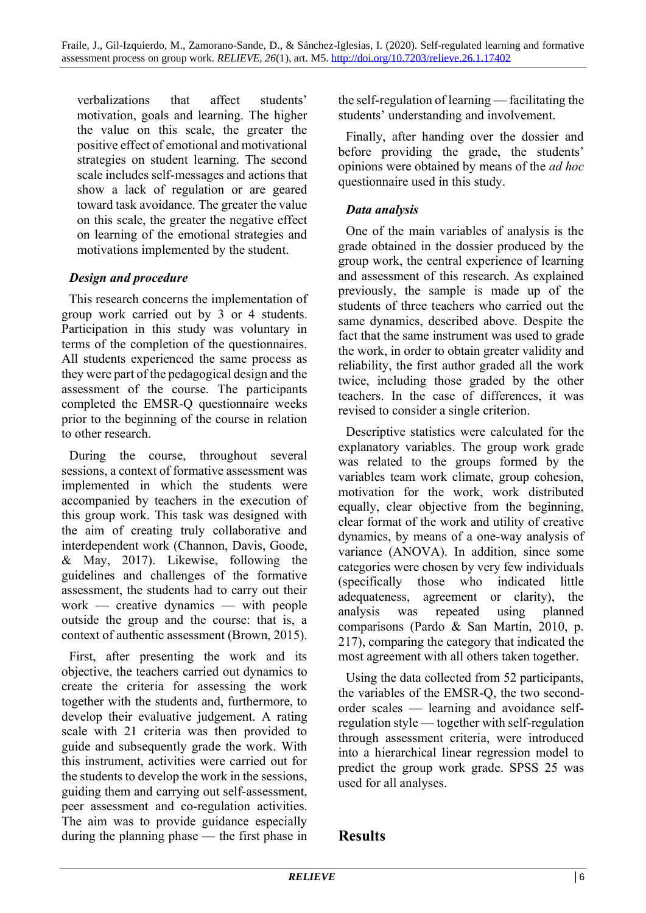verbalizations that affect students' motivation, goals and learning. The higher the value on this scale, the greater the positive effect of emotional and motivational strategies on student learning. The second scale includes self-messages and actions that show a lack of regulation or are geared toward task avoidance. The greater the value on this scale, the greater the negative effect on learning of the emotional strategies and motivations implemented by the student.

#### *Design and procedure*

This research concerns the implementation of group work carried out by 3 or 4 students. Participation in this study was voluntary in terms of the completion of the questionnaires. All students experienced the same process as they were part of the pedagogical design and the assessment of the course. The participants completed the EMSR-Q questionnaire weeks prior to the beginning of the course in relation to other research.

During the course, throughout several sessions, a context of formative assessment was implemented in which the students were accompanied by teachers in the execution of this group work. This task was designed with the aim of creating truly collaborative and interdependent work (Channon, Davis, Goode, & May, 2017). Likewise, following the guidelines and challenges of the formative assessment, the students had to carry out their work — creative dynamics — with people outside the group and the course: that is, a context of authentic assessment (Brown, 2015).

First, after presenting the work and its objective, the teachers carried out dynamics to create the criteria for assessing the work together with the students and, furthermore, to develop their evaluative judgement. A rating scale with 21 criteria was then provided to guide and subsequently grade the work. With this instrument, activities were carried out for the students to develop the work in the sessions, guiding them and carrying out self-assessment, peer assessment and co-regulation activities. The aim was to provide guidance especially during the planning phase — the first phase in the self-regulation of learning — facilitating the students' understanding and involvement.

Finally, after handing over the dossier and before providing the grade, the students' opinions were obtained by means of the *ad hoc*  questionnaire used in this study.

### *Data analysis*

One of the main variables of analysis is the grade obtained in the dossier produced by the group work, the central experience of learning and assessment of this research. As explained previously, the sample is made up of the students of three teachers who carried out the same dynamics, described above. Despite the fact that the same instrument was used to grade the work, in order to obtain greater validity and reliability, the first author graded all the work twice, including those graded by the other teachers. In the case of differences, it was revised to consider a single criterion.

Descriptive statistics were calculated for the explanatory variables. The group work grade was related to the groups formed by the variables team work climate, group cohesion, motivation for the work, work distributed equally, clear objective from the beginning, clear format of the work and utility of creative dynamics, by means of a one-way analysis of variance (ANOVA). In addition, since some categories were chosen by very few individuals (specifically those who indicated little adequateness, agreement or clarity), the analysis was repeated using planned comparisons (Pardo & San Martín, 2010, p. 217), comparing the category that indicated the most agreement with all others taken together.

Using the data collected from 52 participants, the variables of the EMSR-Q, the two secondorder scales — learning and avoidance selfregulation style — together with self-regulation through assessment criteria, were introduced into a hierarchical linear regression model to predict the group work grade. SPSS 25 was used for all analyses.

### **Results**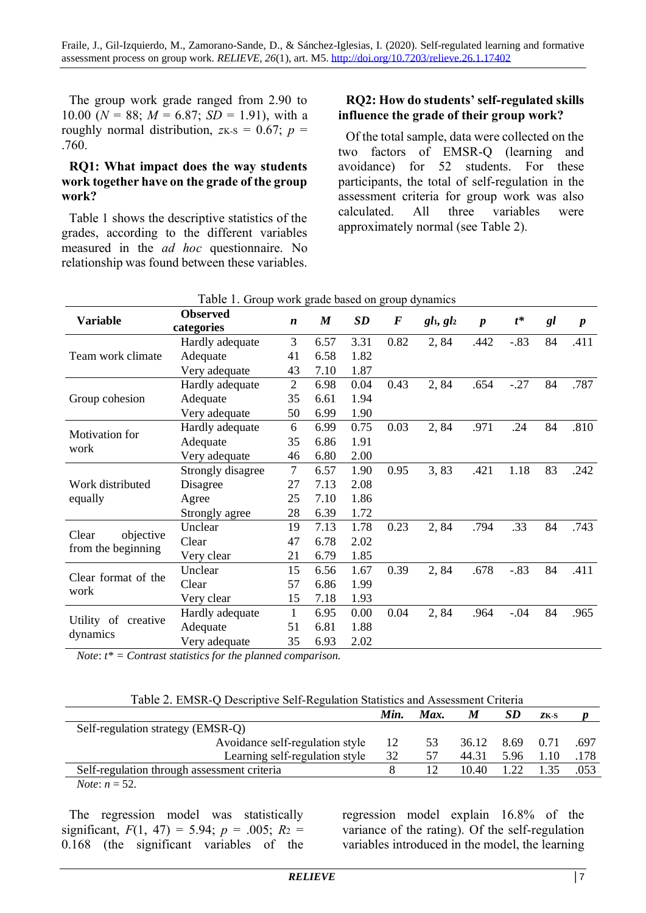The group work grade ranged from 2.90 to 10.00 ( $N = 88$ ;  $M = 6.87$ ;  $SD = 1.91$ ), with a roughly normal distribution,  $z_{K-S} = 0.67$ ;  $p =$ .760.

#### **RQ1: What impact does the way students work together have on the grade of the group work?**

Table 1 shows the descriptive statistics of the grades, according to the different variables measured in the *ad hoc* questionnaire. No relationship was found between these variables.

#### **RQ2: How do students' self-regulated skills influence the grade of their group work?**

Of the total sample, data were collected on the two factors of EMSR-Q (learning and avoidance) for 52 students. For these participants, the total of self-regulation in the assessment criteria for group work was also calculated. All three variables were approximately normal (see Table 2).

| <b>Variable</b>                          | <b>Observed</b>   | $\boldsymbol{n}$ | $\boldsymbol{M}$ | SD   | $\bm{F}$ | $gl_1, gl_2$ | $\boldsymbol{p}$ | $t^*$  | gl | $\boldsymbol{p}$ |
|------------------------------------------|-------------------|------------------|------------------|------|----------|--------------|------------------|--------|----|------------------|
|                                          | categories        |                  |                  |      |          |              |                  |        |    |                  |
| Team work climate                        | Hardly adequate   | 3                | 6.57             | 3.31 | 0.82     | 2,84         | .442             | $-.83$ | 84 | .411             |
|                                          | Adequate          | 41               | 6.58             | 1.82 |          |              |                  |        |    |                  |
|                                          | Very adequate     | 43               | 7.10             | 1.87 |          |              |                  |        |    |                  |
| Group cohesion                           | Hardly adequate   | $\overline{2}$   | 6.98             | 0.04 | 0.43     | 2,84         | .654             | $-.27$ | 84 | .787             |
|                                          | Adequate          | 35               | 6.61             | 1.94 |          |              |                  |        |    |                  |
|                                          | Very adequate     | 50               | 6.99             | 1.90 |          |              |                  |        |    |                  |
| Motivation for<br>work                   | Hardly adequate   | 6                | 6.99             | 0.75 | 0.03     | 2,84         | .971             | .24    | 84 | .810             |
|                                          | Adequate          | 35               | 6.86             | 1.91 |          |              |                  |        |    |                  |
|                                          | Very adequate     | 46               | 6.80             | 2.00 |          |              |                  |        |    |                  |
| Work distributed<br>equally              | Strongly disagree | $\overline{7}$   | 6.57             | 1.90 | 0.95     | 3,83         | .421             | 1.18   | 83 | .242             |
|                                          | Disagree          | 27               | 7.13             | 2.08 |          |              |                  |        |    |                  |
|                                          | Agree             | 25               | 7.10             | 1.86 |          |              |                  |        |    |                  |
|                                          | Strongly agree    | 28               | 6.39             | 1.72 |          |              |                  |        |    |                  |
| Clear<br>objective<br>from the beginning | Unclear           | 19               | 7.13             | 1.78 | 0.23     | 2,84         | .794             | .33    | 84 | .743             |
|                                          | Clear             | 47               | 6.78             | 2.02 |          |              |                  |        |    |                  |
|                                          | Very clear        | 21               | 6.79             | 1.85 |          |              |                  |        |    |                  |
| Clear format of the<br>work              | Unclear           | 15               | 6.56             | 1.67 | 0.39     | 2,84         | .678             | $-.83$ | 84 | .411             |
|                                          | Clear             | 57               | 6.86             | 1.99 |          |              |                  |        |    |                  |
|                                          | Very clear        | 15               | 7.18             | 1.93 |          |              |                  |        |    |                  |
| Utility of<br>creative<br>dynamics       | Hardly adequate   | 1                | 6.95             | 0.00 | 0.04     | 2,84         | .964             | $-.04$ | 84 | .965             |
|                                          | Adequate          | 51               | 6.81             | 1.88 |          |              |                  |        |    |                  |
|                                          | Very adequate     | 35               | 6.93             | 2.02 |          |              |                  |        |    |                  |

Table 1. Group work grade based on group dynamics

*Note*: *t\* = Contrast statistics for the planned comparison.*

|  |  |  |  | Table 2. EMSR-Q Descriptive Self-Regulation Statistics and Assessment Criteria |
|--|--|--|--|--------------------------------------------------------------------------------|
|--|--|--|--|--------------------------------------------------------------------------------|

|                                             | Min. | Max. | M     | SD        | $ZK-S$ |      |
|---------------------------------------------|------|------|-------|-----------|--------|------|
| Self-regulation strategy (EMSR-Q)           |      |      |       |           |        |      |
| Avoidance self-regulation style             | 12   | 53   | 36.12 | 8.69 0.71 |        | .697 |
| Learning self-regulation style              | 32   |      | 44.31 | 5.96      | 1.10   | .178 |
| Self-regulation through assessment criteria |      | 12   | 10.40 | 22        | 135    | .053 |
| <i>Note:</i> $n = 52$ .                     |      |      |       |           |        |      |

The regression model was statistically significant,  $F(1, 47) = 5.94$ ;  $p = .005$ ;  $R_2 =$ 0.168 (the significant variables of the regression model explain 16.8% of the variance of the rating). Of the self-regulation variables introduced in the model, the learning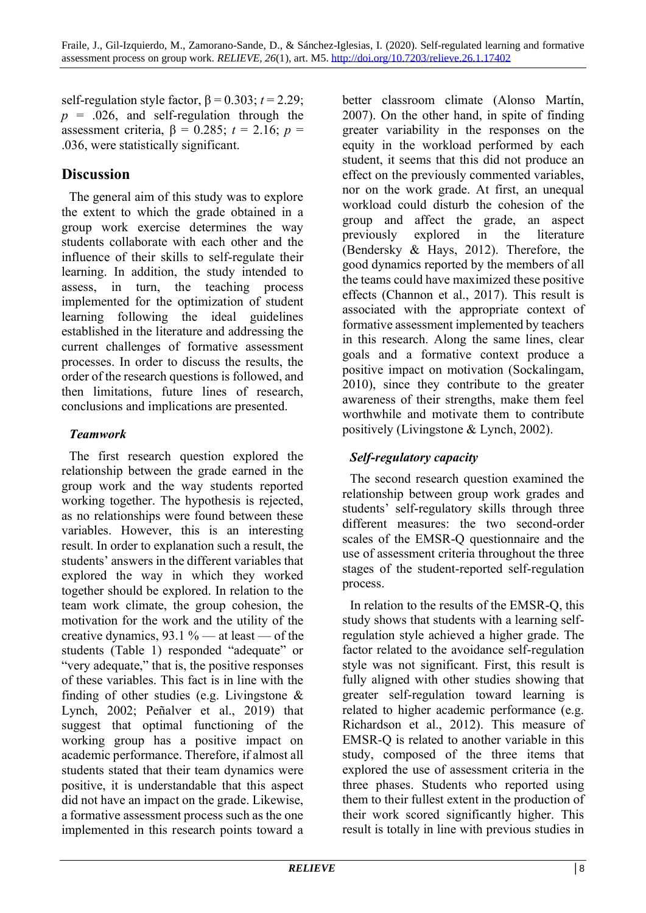self-regulation style factor,  $\beta = 0.303$ ;  $t = 2.29$ ;  $p = .026$ , and self-regulation through the assessment criteria, β = 0.285; *t* = 2.16; *p* = .036, were statistically significant.

### **Discussion**

The general aim of this study was to explore the extent to which the grade obtained in a group work exercise determines the way students collaborate with each other and the influence of their skills to self-regulate their learning. In addition, the study intended to assess, in turn, the teaching process implemented for the optimization of student learning following the ideal guidelines established in the literature and addressing the current challenges of formative assessment processes. In order to discuss the results, the order of the research questions is followed, and then limitations, future lines of research, conclusions and implications are presented.

### *Teamwork*

The first research question explored the relationship between the grade earned in the group work and the way students reported working together. The hypothesis is rejected, as no relationships were found between these variables. However, this is an interesting result. In order to explanation such a result, the students' answers in the different variables that explored the way in which they worked together should be explored. In relation to the team work climate, the group cohesion, the motivation for the work and the utility of the creative dynamics, 93.1 % — at least — of the students (Table 1) responded "adequate" or "very adequate," that is, the positive responses of these variables. This fact is in line with the finding of other studies (e.g. Livingstone & Lynch, 2002; Peñalver et al., 2019) that suggest that optimal functioning of the working group has a positive impact on academic performance. Therefore, if almost all students stated that their team dynamics were positive, it is understandable that this aspect did not have an impact on the grade. Likewise, a formative assessment process such as the one implemented in this research points toward a

better classroom climate (Alonso Martín, 2007). On the other hand, in spite of finding greater variability in the responses on the equity in the workload performed by each student, it seems that this did not produce an effect on the previously commented variables, nor on the work grade. At first, an unequal workload could disturb the cohesion of the group and affect the grade, an aspect previously explored in the literature (Bendersky & Hays, 2012). Therefore, the good dynamics reported by the members of all the teams could have maximized these positive effects (Channon et al., 2017). This result is associated with the appropriate context of formative assessment implemented by teachers in this research. Along the same lines, clear goals and a formative context produce a positive impact on motivation (Sockalingam, 2010), since they contribute to the greater awareness of their strengths, make them feel worthwhile and motivate them to contribute positively (Livingstone & Lynch, 2002).

### *Self-regulatory capacity*

The second research question examined the relationship between group work grades and students' self-regulatory skills through three different measures: the two second-order scales of the EMSR-Q questionnaire and the use of assessment criteria throughout the three stages of the student-reported self-regulation process.

In relation to the results of the EMSR-Q, this study shows that students with a learning selfregulation style achieved a higher grade. The factor related to the avoidance self-regulation style was not significant. First, this result is fully aligned with other studies showing that greater self-regulation toward learning is related to higher academic performance (e.g. Richardson et al., 2012). This measure of EMSR-Q is related to another variable in this study, composed of the three items that explored the use of assessment criteria in the three phases. Students who reported using them to their fullest extent in the production of their work scored significantly higher. This result is totally in line with previous studies in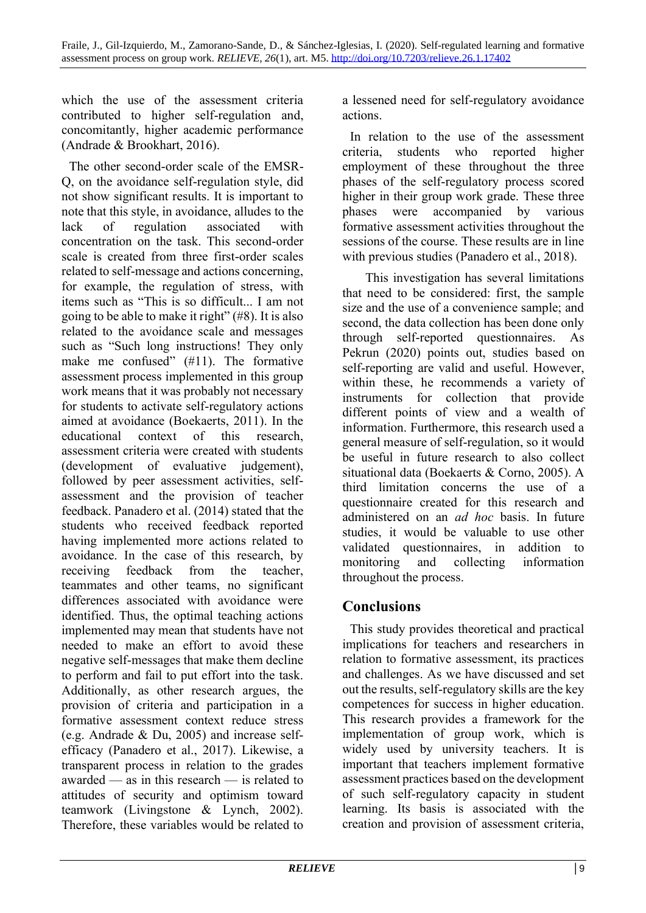which the use of the assessment criteria contributed to higher self-regulation and, concomitantly, higher academic performance (Andrade & Brookhart, 2016).

The other second-order scale of the EMSR-Q, on the avoidance self-regulation style, did not show significant results. It is important to note that this style, in avoidance, alludes to the lack of regulation associated with concentration on the task. This second-order scale is created from three first-order scales related to self-message and actions concerning, for example, the regulation of stress, with items such as "This is so difficult... I am not going to be able to make it right" (#8). It is also related to the avoidance scale and messages such as "Such long instructions! They only make me confused" (#11). The formative assessment process implemented in this group work means that it was probably not necessary for students to activate self-regulatory actions aimed at avoidance (Boekaerts, 2011). In the educational context of this research assessment criteria were created with students (development of evaluative judgement), followed by peer assessment activities, selfassessment and the provision of teacher feedback. Panadero et al. (2014) stated that the students who received feedback reported having implemented more actions related to avoidance. In the case of this research, by receiving feedback from the teacher, teammates and other teams, no significant differences associated with avoidance were identified. Thus, the optimal teaching actions implemented may mean that students have not needed to make an effort to avoid these negative self-messages that make them decline to perform and fail to put effort into the task. Additionally, as other research argues, the provision of criteria and participation in a formative assessment context reduce stress (e.g. Andrade & Du, 2005) and increase selfefficacy (Panadero et al., 2017). Likewise, a transparent process in relation to the grades awarded — as in this research — is related to attitudes of security and optimism toward teamwork (Livingstone & Lynch, 2002). Therefore, these variables would be related to

a lessened need for self-regulatory avoidance actions.

In relation to the use of the assessment criteria, students who reported higher employment of these throughout the three phases of the self-regulatory process scored higher in their group work grade. These three phases were accompanied by various formative assessment activities throughout the sessions of the course. These results are in line with previous studies (Panadero et al., 2018).

This investigation has several limitations that need to be considered: first, the sample size and the use of a convenience sample; and second, the data collection has been done only through self-reported questionnaires. As Pekrun (2020) points out, studies based on self-reporting are valid and useful. However, within these, he recommends a variety of instruments for collection that provide different points of view and a wealth of information. Furthermore, this research used a general measure of self-regulation, so it would be useful in future research to also collect situational data (Boekaerts & Corno, 2005). A third limitation concerns the use of a questionnaire created for this research and administered on an *ad hoc* basis. In future studies, it would be valuable to use other validated questionnaires, in addition to monitoring and collecting information throughout the process.

### **Conclusions**

This study provides theoretical and practical implications for teachers and researchers in relation to formative assessment, its practices and challenges. As we have discussed and set out the results, self-regulatory skills are the key competences for success in higher education. This research provides a framework for the implementation of group work, which is widely used by university teachers. It is important that teachers implement formative assessment practices based on the development of such self-regulatory capacity in student learning. Its basis is associated with the creation and provision of assessment criteria,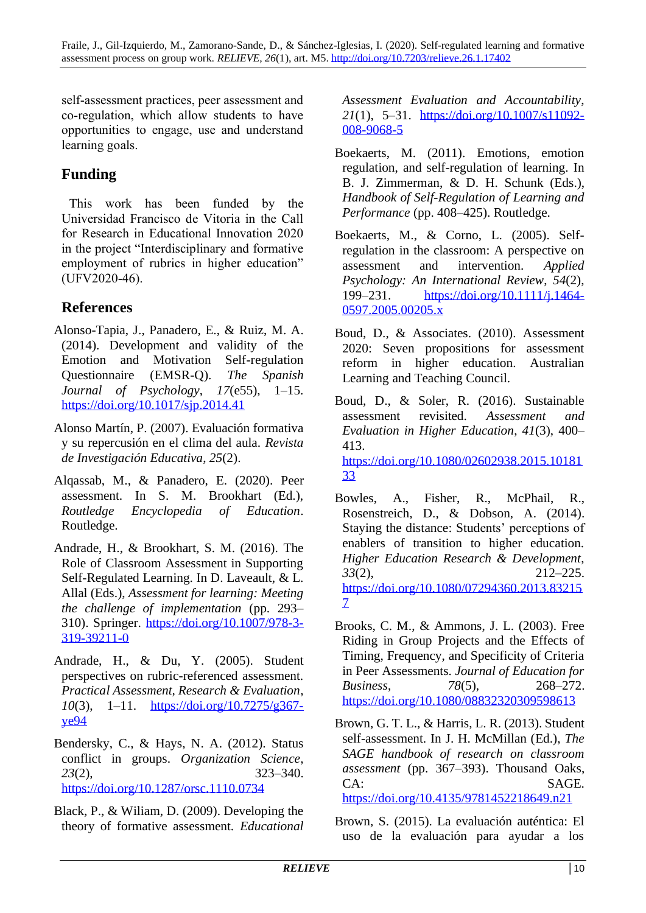self-assessment practices, peer assessment and co-regulation, which allow students to have opportunities to engage, use and understand learning goals.

# **Funding**

This work has been funded by the Universidad Francisco de Vitoria in the Call for Research in Educational Innovation 2020 in the project "Interdisciplinary and formative employment of rubrics in higher education" (UFV2020-46).

## **References**

- Alonso-Tapia, J., Panadero, E., & Ruiz, M. A. (2014). Development and validity of the Emotion and Motivation Self-regulation Questionnaire (EMSR-Q). *The Spanish Journal of Psychology*, *17*(e55), 1–15. <https://doi.org/10.1017/sjp.2014.41>
- Alonso Martín, P. (2007). Evaluación formativa y su repercusión en el clima del aula. *Revista de Investigación Educativa*, *25*(2).
- Alqassab, M., & Panadero, E. (2020). Peer assessment. In S. M. Brookhart (Ed.), *Routledge Encyclopedia of Education*. Routledge.
- Andrade, H., & Brookhart, S. M. (2016). The Role of Classroom Assessment in Supporting Self-Regulated Learning. In D. Laveault, & L. Allal (Eds.), *Assessment for learning: Meeting the challenge of implementation* (pp. 293– 310). Springer. [https://doi.org/10.1007/978-3-](https://doi.org/10.1007/978-3-319-39211-0) [319-39211-0](https://doi.org/10.1007/978-3-319-39211-0)
- Andrade, H., & Du, Y. (2005). Student perspectives on rubric-referenced assessment. *Practical Assessment, Research & Evaluation*, *10*(3), 1–11. [https://doi.org/10.7275/g367](https://doi.org/10.7275/g367-ye94) [ye94](https://doi.org/10.7275/g367-ye94)
- Bendersky, C., & Hays, N. A. (2012). Status conflict in groups. *Organization Science*, *23*(2), 323–340. <https://doi.org/10.1287/orsc.1110.0734>
- Black, P., & Wiliam, D. (2009). Developing the theory of formative assessment. *Educational*

*Assessment Evaluation and Accountability*, *21*(1), 5–31. [https://doi.org/10.1007/s11092-](https://doi.org/10.1007/s11092-008-9068-5) [008-9068-5](https://doi.org/10.1007/s11092-008-9068-5)

- Boekaerts, M. (2011). Emotions, emotion regulation, and self-regulation of learning. In B. J. Zimmerman, & D. H. Schunk (Eds.), *Handbook of Self-Regulation of Learning and Performance* (pp. 408–425). Routledge.
- Boekaerts, M., & Corno, L. (2005). Selfregulation in the classroom: A perspective on assessment and intervention. *Applied Psychology: An International Review*, *54*(2), 199–231. [https://doi.org/10.1111/j.1464-](https://doi.org/10.1111/j.1464-0597.2005.00205.x) [0597.2005.00205.x](https://doi.org/10.1111/j.1464-0597.2005.00205.x)
- Boud, D., & Associates. (2010). Assessment 2020: Seven propositions for assessment reform in higher education. Australian Learning and Teaching Council.
- Boud, D., & Soler, R. (2016). Sustainable assessment revisited. *Assessment and Evaluation in Higher Education*, *41*(3), 400– 413. [https://doi.org/10.1080/02602938.2015.10181](https://doi.org/10.1080/02602938.2015.1018133) [33](https://doi.org/10.1080/02602938.2015.1018133)
- Bowles, A., Fisher, R., McPhail, R., Rosenstreich, D., & Dobson, A. (2014). Staying the distance: Students' perceptions of enablers of transition to higher education. *Higher Education Research & Development*, *33*(2), 212–225. [https://doi.org/10.1080/07294360.2013.83215](https://doi.org/10.1080/07294360.2013.832157) [7](https://doi.org/10.1080/07294360.2013.832157)
- Brooks, C. M., & Ammons, J. L. (2003). Free Riding in Group Projects and the Effects of Timing, Frequency, and Specificity of Criteria in Peer Assessments. *Journal of Education for Business*, *78*(5), 268–272. <https://doi.org/10.1080/08832320309598613>
- Brown, G. T. L., & Harris, L. R. (2013). Student self-assessment. In J. H. McMillan (Ed.), *The SAGE handbook of research on classroom assessment* (pp. 367–393). Thousand Oaks, CA: SAGE. <https://doi.org/10.4135/9781452218649.n21>
- Brown, S. (2015). La evaluación auténtica: El uso de la evaluación para ayudar a los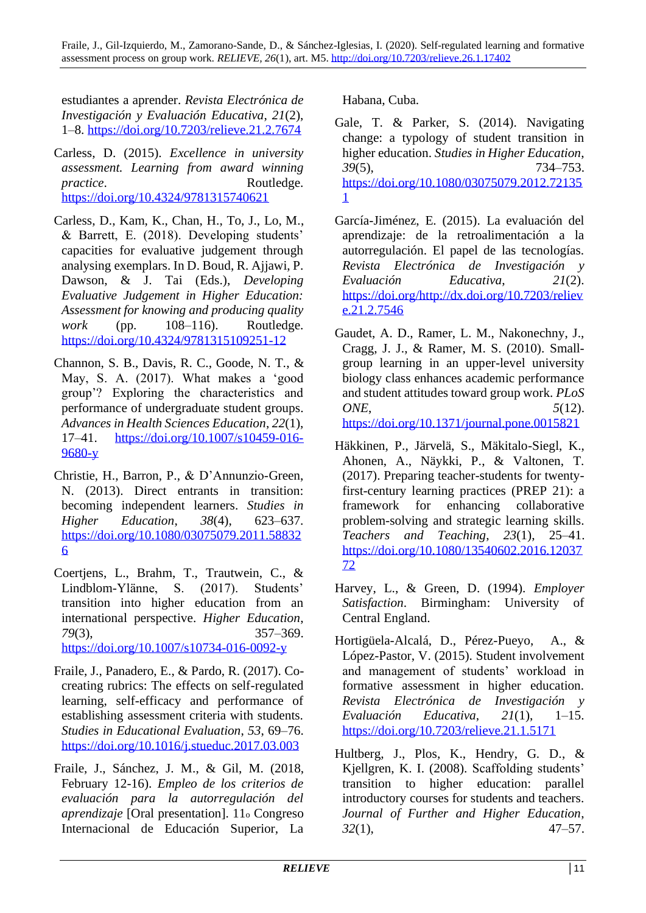estudiantes a aprender. *Revista Electrónica de Investigación y Evaluación Educativa*, *21*(2), 1–8.<https://doi.org/10.7203/relieve.21.2.7674>

- Carless, D. (2015). *Excellence in university assessment. Learning from award winning practice.* Routledge. <https://doi.org/10.4324/9781315740621>
- Carless, D., Kam, K., Chan, H., To, J., Lo, M., & Barrett, E. (2018). Developing students' capacities for evaluative judgement through analysing exemplars. In D. Boud, R. Ajjawi, P. Dawson, & J. Tai (Eds.), *Developing Evaluative Judgement in Higher Education: Assessment for knowing and producing quality work* (pp. 108–116). Routledge. <https://doi.org/10.4324/9781315109251-12>
- Channon, S. B., Davis, R. C., Goode, N. T., & May, S. A. (2017). What makes a 'good group'? Exploring the characteristics and performance of undergraduate student groups. *Advances in Health Sciences Education*, *22*(1), 17–41. [https://doi.org/10.1007/s10459-016-](https://doi.org/10.1007/s10459-016-9680-y) [9680-y](https://doi.org/10.1007/s10459-016-9680-y)
- Christie, H., Barron, P., & D'Annunzio-Green, N. (2013). Direct entrants in transition: becoming independent learners. *Studies in Higher Education*, *38*(4), 623–637. [https://doi.org/10.1080/03075079.2011.58832](https://doi.org/10.1080/03075079.2011.588326) [6](https://doi.org/10.1080/03075079.2011.588326)
- Coertjens, L., Brahm, T., Trautwein, C., & Lindblom-Ylänne, S. (2017). Students' transition into higher education from an international perspective. *Higher Education*, *79*(3), 357–369. <https://doi.org/10.1007/s10734-016-0092-y>
- Fraile, J., Panadero, E., & Pardo, R. (2017). Cocreating rubrics: The effects on self-regulated learning, self-efficacy and performance of establishing assessment criteria with students. *Studies in Educational Evaluation*, *53*, 69–76. <https://doi.org/10.1016/j.stueduc.2017.03.003>
- Fraile, J., Sánchez, J. M., & Gil, M. (2018, February 12-16). *Empleo de los criterios de evaluación para la autorregulación del aprendizaje* [Oral presentation]. 11<sup>o</sup> Congreso Internacional de Educación Superior, La

Habana, Cuba.

- Gale, T. & Parker, S. (2014). Navigating change: a typology of student transition in higher education. *Studies in Higher Education*, *39*(5), 734–753. [https://doi.org/10.1080/03075079.2012.72135](https://doi.org/10.1080/03075079.2012.721351) [1](https://doi.org/10.1080/03075079.2012.721351)
- García-Jiménez, E. (2015). La evaluación del aprendizaje: de la retroalimentación a la autorregulación. El papel de las tecnologías. *Revista Electrónica de Investigación y Evaluación Educativa*, *21*(2). [https://doi.org/http://dx.doi.org/10.7203/reliev](https://doi.org/http:/dx.doi.org/10.7203/relieve.21.2.7546) [e.21.2.7546](https://doi.org/http:/dx.doi.org/10.7203/relieve.21.2.7546)
- Gaudet, A. D., Ramer, L. M., Nakonechny, J., Cragg, J. J., & Ramer, M. S. (2010). Smallgroup learning in an upper-level university biology class enhances academic performance and student attitudes toward group work. *PLoS ONE*, *5*(12). <https://doi.org/10.1371/journal.pone.0015821>
- Häkkinen, P., Järvelä, S., Mäkitalo-Siegl, K., Ahonen, A., Näykki, P., & Valtonen, T. (2017). Preparing teacher-students for twentyfirst-century learning practices (PREP 21): a framework for enhancing collaborative problem-solving and strategic learning skills. *Teachers and Teaching*, *23*(1), 25–41.

[https://doi.org/10.1080/13540602.2016.12037](https://doi.org/10.1080/13540602.2016.1203772)

- Harvey, L., & Green, D. (1994). *Employer Satisfaction*. Birmingham: University of Central England.
- Hortigüela-Alcalá, D., Pérez-Pueyo, A., & López-Pastor, V. (2015). Student involvement and management of students' workload in formative assessment in higher education. *Revista Electrónica de Investigación y Evaluación Educativa*, *21*(1), 1–15. <https://doi.org/10.7203/relieve.21.1.5171>
- Hultberg, J., Plos, K., Hendry, G. D., & Kjellgren, K. I. (2008). Scaffolding students' transition to higher education: parallel introductory courses for students and teachers. *Journal of Further and Higher Education*, *32*(1), 47–57.

[72](https://doi.org/10.1080/13540602.2016.1203772)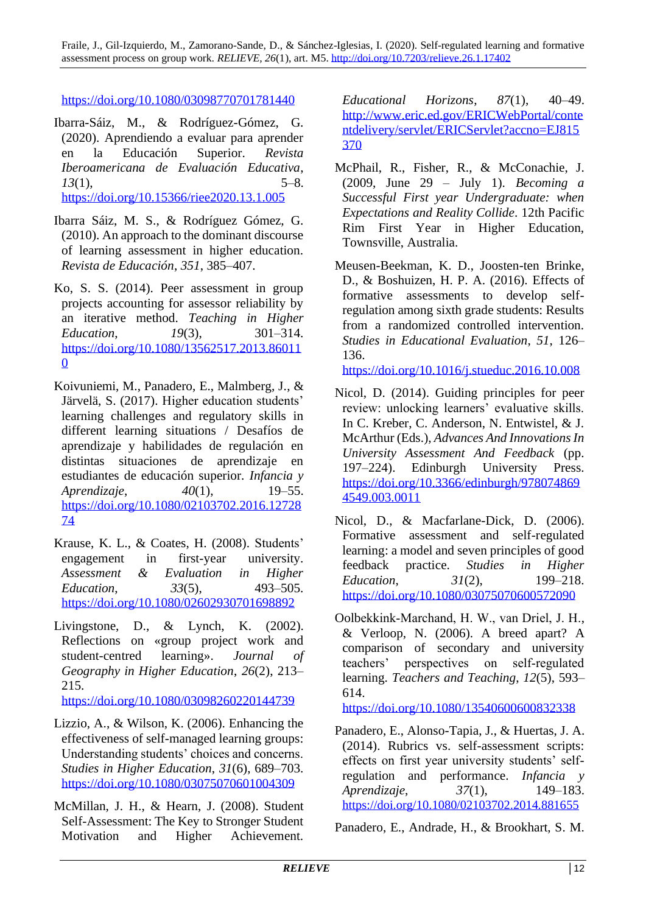<https://doi.org/10.1080/03098770701781440>

- Ibarra-Sáiz, M., & Rodríguez-Gómez, G. (2020). Aprendiendo a evaluar para aprender en la Educación Superior. *Revista Iberoamericana de Evaluación Educativa*, *13*(1), 5–8. <https://doi.org/10.15366/riee2020.13.1.005>
- Ibarra Sáiz, M. S., & Rodríguez Gómez, G. (2010). An approach to the dominant discourse of learning assessment in higher education. *Revista de Educación*, *351*, 385–407.
- Ko, S. S. (2014). Peer assessment in group projects accounting for assessor reliability by an iterative method. *Teaching in Higher Education*, *19*(3), 301–314. [https://doi.org/10.1080/13562517.2013.86011](https://doi.org/10.1080/13562517.2013.860110) [0](https://doi.org/10.1080/13562517.2013.860110)
- Koivuniemi, M., Panadero, E., Malmberg, J., & Järvelä, S. (2017). Higher education students' learning challenges and regulatory skills in different learning situations / Desafíos de aprendizaje y habilidades de regulación en distintas situaciones de aprendizaje en estudiantes de educación superior. *Infancia y Aprendizaje*, *40*(1), 19–55. [https://doi.org/10.1080/02103702.2016.12728](https://doi.org/10.1080/02103702.2016.1272874) [74](https://doi.org/10.1080/02103702.2016.1272874)
- Krause, K. L., & Coates, H. (2008). Students' engagement in first-year university. *Assessment & Evaluation in Higher Education*, *33*(5), 493–505. <https://doi.org/10.1080/02602930701698892>
- Livingstone, D., & Lynch, K. (2002). Reflections on «group project work and student-centred learning». *Journal of Geography in Higher Education*, *26*(2), 213– 215.

<https://doi.org/10.1080/03098260220144739>

- Lizzio, A., & Wilson, K. (2006). Enhancing the effectiveness of self-managed learning groups: Understanding students' choices and concerns. *Studies in Higher Education*, *31*(6), 689–703. <https://doi.org/10.1080/03075070601004309>
- McMillan, J. H., & Hearn, J. (2008). Student Self-Assessment: The Key to Stronger Student Motivation and Higher Achievement.

*Educational Horizons*, *87*(1), 40–49. [http://www.eric.ed.gov/ERICWebPortal/conte](http://www.eric.ed.gov/ERICWebPortal/contentdelivery/servlet/ERICServlet?accno=EJ815370) [ntdelivery/servlet/ERICServlet?accno=EJ815](http://www.eric.ed.gov/ERICWebPortal/contentdelivery/servlet/ERICServlet?accno=EJ815370) [370](http://www.eric.ed.gov/ERICWebPortal/contentdelivery/servlet/ERICServlet?accno=EJ815370)

- McPhail, R., Fisher, R., & McConachie, J. (2009, June 29 – July 1). *Becoming a Successful First year Undergraduate: when Expectations and Reality Collide*. 12th Pacific Rim First Year in Higher Education, Townsville, Australia.
- Meusen-Beekman, K. D., Joosten-ten Brinke, D., & Boshuizen, H. P. A. (2016). Effects of formative assessments to develop selfregulation among sixth grade students: Results from a randomized controlled intervention. *Studies in Educational Evaluation*, *51*, 126– 136.

<https://doi.org/10.1016/j.stueduc.2016.10.008>

- Nicol, D. (2014). Guiding principles for peer review: unlocking learners' evaluative skills. In C. Kreber, C. Anderson, N. Entwistel, & J. McArthur (Eds.), *Advances And Innovations In University Assessment And Feedback* (pp. 197–224). Edinburgh University Press. [https://doi.org/10.3366/edinburgh/978074869](https://doi.org/10.3366/edinburgh/9780748694549.003.0011) [4549.003.0011](https://doi.org/10.3366/edinburgh/9780748694549.003.0011)
- Nicol, D., & Macfarlane-Dick, D. (2006). Formative assessment and self-regulated learning: a model and seven principles of good feedback practice. *Studies in Higher Education*, *31*(2), 199–218. <https://doi.org/10.1080/03075070600572090>
- Oolbekkink‐Marchand, H. W., van Driel, J. H., & Verloop, N. (2006). A breed apart? A comparison of secondary and university teachers' perspectives on self‐regulated learning. *Teachers and Teaching*, *12*(5), 593– 614.

<https://doi.org/10.1080/13540600600832338>

Panadero, E., Alonso-Tapia, J., & Huertas, J. A. (2014). Rubrics vs. self-assessment scripts: effects on first year university students' selfregulation and performance. *Infancia y Aprendizaje*, *37*(1), 149–183. <https://doi.org/10.1080/02103702.2014.881655>

Panadero, E., Andrade, H., & Brookhart, S. M.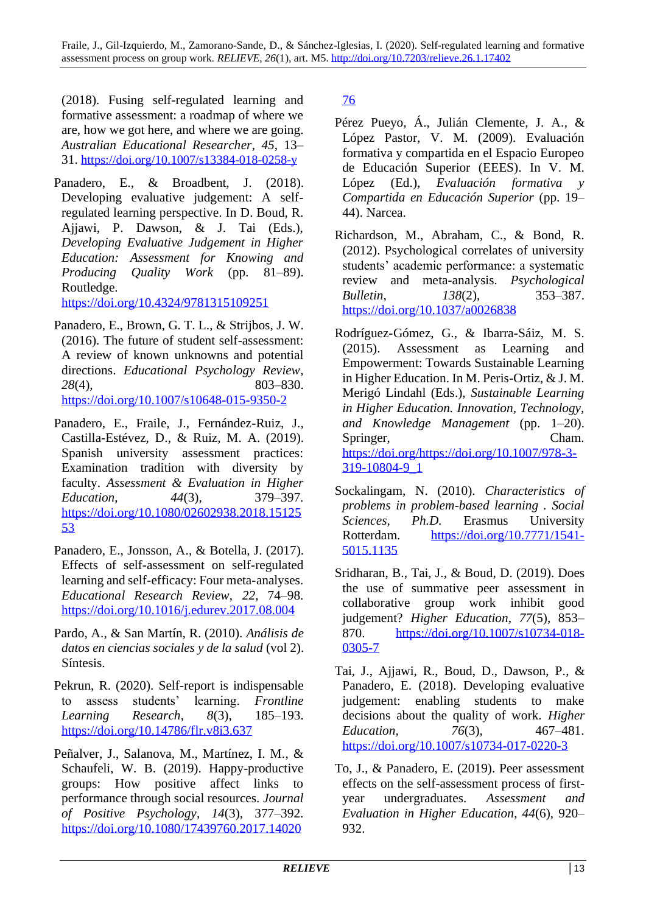(2018). Fusing self-regulated learning and formative assessment: a roadmap of where we are, how we got here, and where we are going. *Australian Educational Researcher*, *45*, 13– 31. <https://doi.org/10.1007/s13384-018-0258-y>

Panadero, E., & Broadbent, J. (2018). Developing evaluative judgement: A selfregulated learning perspective. In D. Boud, R. Ajjawi, P. Dawson, & J. Tai (Eds.), *Developing Evaluative Judgement in Higher Education: Assessment for Knowing and Producing Quality Work* (pp. 81–89). Routledge.

<https://doi.org/10.4324/9781315109251>

- Panadero, E., Brown, G. T. L., & Strijbos, J. W. (2016). The future of student self-assessment: A review of known unknowns and potential directions. *Educational Psychology Review*, *28*(4), 803–830. <https://doi.org/10.1007/s10648-015-9350-2>
- Panadero, E., Fraile, J., Fernández-Ruiz, J., Castilla-Estévez, D., & Ruiz, M. A. (2019). Spanish university assessment practices: Examination tradition with diversity by faculty. *Assessment & Evaluation in Higher Education*, *44*(3), 379–397. [https://doi.org/10.1080/02602938.2018.15125](https://doi.org/10.1080/02602938.2018.1512553) [53](https://doi.org/10.1080/02602938.2018.1512553)
- Panadero, E., Jonsson, A., & Botella, J. (2017). Effects of self-assessment on self-regulated learning and self-efficacy: Four meta-analyses. *Educational Research Review*, *22*, 74–98. <https://doi.org/10.1016/j.edurev.2017.08.004>
- Pardo, A., & San Martín, R. (2010). *Análisis de datos en ciencias sociales y de la salud* (vol 2). Síntesis.
- Pekrun, R. (2020). Self-report is indispensable to assess students' learning. *Frontline Learning Research*, *8*(3), 185–193. <https://doi.org/10.14786/flr.v8i3.637>
- Peñalver, J., Salanova, M., Martínez, I. M., & Schaufeli, W. B. (2019). Happy-productive groups: How positive affect links to performance through social resources. *Journal of Positive Psychology*, *14*(3), 377–392. [https://doi.org/10.1080/17439760.2017.14020](https://doi.org/10.1080/17439760.2017.1402076)

[76](https://doi.org/10.1080/17439760.2017.1402076)

- Pérez Pueyo, Á., Julián Clemente, J. A., & López Pastor, V. M. (2009). Evaluación formativa y compartida en el Espacio Europeo de Educación Superior (EEES). In V. M. López (Ed.), *Evaluación formativa y Compartida en Educación Superior* (pp. 19– 44). Narcea.
- Richardson, M., Abraham, C., & Bond, R. (2012). Psychological correlates of university students' academic performance: a systematic review and meta-analysis. *Psychological Bulletin*, *138*(2), 353–387. <https://doi.org/10.1037/a0026838>
- Rodríguez-Gómez, G., & Ibarra-Sáiz, M. S. (2015). Assessment as Learning and Empowerment: Towards Sustainable Learning in Higher Education. In M. Peris-Ortiz, & J. M. Merigó Lindahl (Eds.), *Sustainable Learning in Higher Education. Innovation, Technology, and Knowledge Management* (pp. 1–20). Springer, Cham. [https://doi.org/https://doi.org/10.1007/978-3-](https://doi.org/https:/doi.org/10.1007/978-3-319-10804-9_1) [319-10804-9\\_1](https://doi.org/https:/doi.org/10.1007/978-3-319-10804-9_1)
- Sockalingam, N. (2010). *Characteristics of problems in problem-based learning . Social Sciences, Ph.D.* Erasmus University Rotterdam. [https://doi.org/10.7771/1541-](https://doi.org/10.7771/1541-5015.1135) [5015.1135](https://doi.org/10.7771/1541-5015.1135)
- Sridharan, B., Tai, J., & Boud, D. (2019). Does the use of summative peer assessment in collaborative group work inhibit good judgement? *Higher Education*, *77*(5), 853– 870. [https://doi.org/10.1007/s10734-018-](https://doi.org/10.1007/s10734-018-0305-7) [0305-7](https://doi.org/10.1007/s10734-018-0305-7)
- Tai, J., Ajjawi, R., Boud, D., Dawson, P., & Panadero, E. (2018). Developing evaluative judgement: enabling students to make decisions about the quality of work. *Higher Education*, *76*(3), 467–481. <https://doi.org/10.1007/s10734-017-0220-3>
- To, J., & Panadero, E. (2019). Peer assessment effects on the self-assessment process of firstyear undergraduates. *Assessment and Evaluation in Higher Education*, *44*(6), 920– 932.